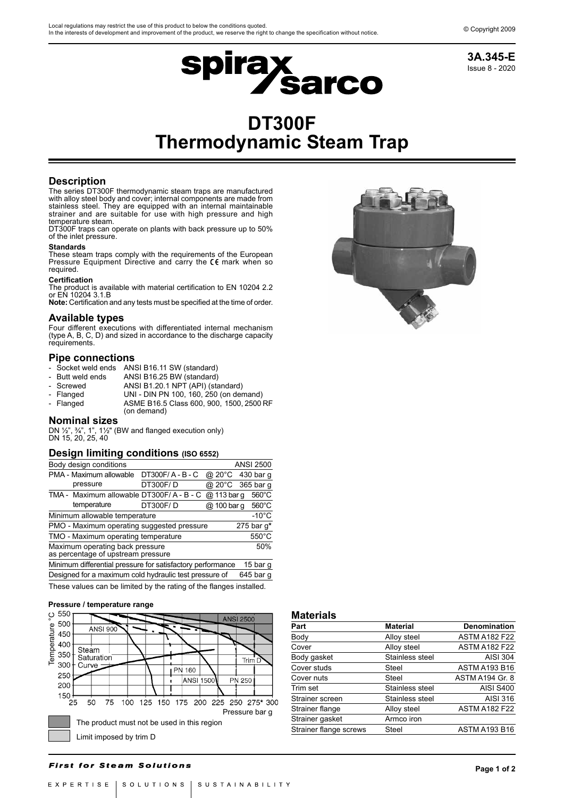

# Issue 8 - 2020 **3A.345-E**

# **DT300F Thermodynamic Steam Trap**

# **Description**

The series DT300F thermodynamic steam traps are manufactured with alloy steel body and cover; internal components are made from stainless steel. They are equipped with an internal maintainable strainer and are suitable for use with high pressure and high temperature steam.

DT300F traps can operate on plants with back pressure up to 50% of the inlet pressure.

#### **Standards**

These steam traps comply with the requirements of the European Pressure Equipment Directive and carry the  $\mathsf{CE}$  mark when so required.

#### **Certification**

The product is available with material certification to EN 10204 2.2 or EN 10204 3.1.B

**Note:** Certification and any tests must be specified at the time of order.

**Available types** Four different executions with differentiated internal mechanism (type A, B, C, D) and sized in accordance to the discharge capacity requirements.

### **Pipe connections**

- Socket weld ends ANSI B16.11 SW (standard)<br>Butt weld ends ANSI B16.25 BW (standard)
- ANSI B16.25 BW (standard)
- Screwed ANSI B1.20.1 NPT (API) (standard)<br>Flanged UNI DIN PN 100, 160, 250 (on der
- UNI DIN PN 100, 160, 250 (on demand)
- Flanged ASME B16.5 Class 600, 900, 1500, 2500 RF (on demand)

# **Nominal sizes**

DN  $\frac{1}{2}$ ,  $\frac{3}{4}$ , 1<sup>n</sup>, 1<sup>1</sup>/<sub>2</sub> (BW and flanged execution only) DN 15, 20, 25, 40

#### **Design limiting conditions (ISO 6552)**

| Body design conditions                                     |              |             | ANSI 2500         |  |
|------------------------------------------------------------|--------------|-------------|-------------------|--|
| PMA - Maximum allowable                                    | DT300F/A-B-C |             | @ 20°C 430 bar q  |  |
| pressure                                                   | DT300F/D     |             | @ 20°C 365 bar q  |  |
| TMA - Maximum allowable DT300F/A - B - C                   |              | @ 113 bar q | $560^{\circ}$ C   |  |
| temperature                                                | DT300F/D     |             | @ 100 barg 560 °C |  |
| Minimum allowable temperature                              |              |             | $-10^{\circ}$ C   |  |
| PMO - Maximum operating suggested pressure                 |              |             | 275 bar $q^*$     |  |
| TMO - Maximum operating temperature                        |              |             | $550^{\circ}$ C   |  |
| 50%<br>Maximum operating back pressure                     |              |             |                   |  |
| as percentage of upstream pressure                         |              |             |                   |  |
| Minimum differential pressure for satisfactory performance |              |             | 15 bar g          |  |
| Designed for a maximum cold hydraulic test pressure of     |              |             | 645 bar g         |  |
|                                                            |              |             |                   |  |

These values can be limited by the rating of the flanges installed.





| 1114W11419             |                 |                        |  |  |
|------------------------|-----------------|------------------------|--|--|
| Part                   | <b>Material</b> | <b>Denomination</b>    |  |  |
| Body                   | Alloy steel     | <b>ASTM A182 F22</b>   |  |  |
| Cover                  | Alloy steel     | <b>ASTM A182 F22</b>   |  |  |
| Body gasket            | Stainless steel | <b>AISI 304</b>        |  |  |
| Cover studs            | Steel           | <b>ASTM A193 B16</b>   |  |  |
| Cover nuts             | Steel           | <b>ASTM A194 Gr. 8</b> |  |  |
| Trim set               | Stainless steel | <b>AISI S400</b>       |  |  |
| Strainer screen        | Stainless steel | AISI 316               |  |  |
| Strainer flange        | Alloy steel     | <b>ASTM A182 F22</b>   |  |  |
| Strainer gasket        | Armco iron      |                        |  |  |
| Strainer flange screws | Steel           | <b>ASTM A193 B16</b>   |  |  |
|                        |                 |                        |  |  |

#### **First for Steam Solutions**